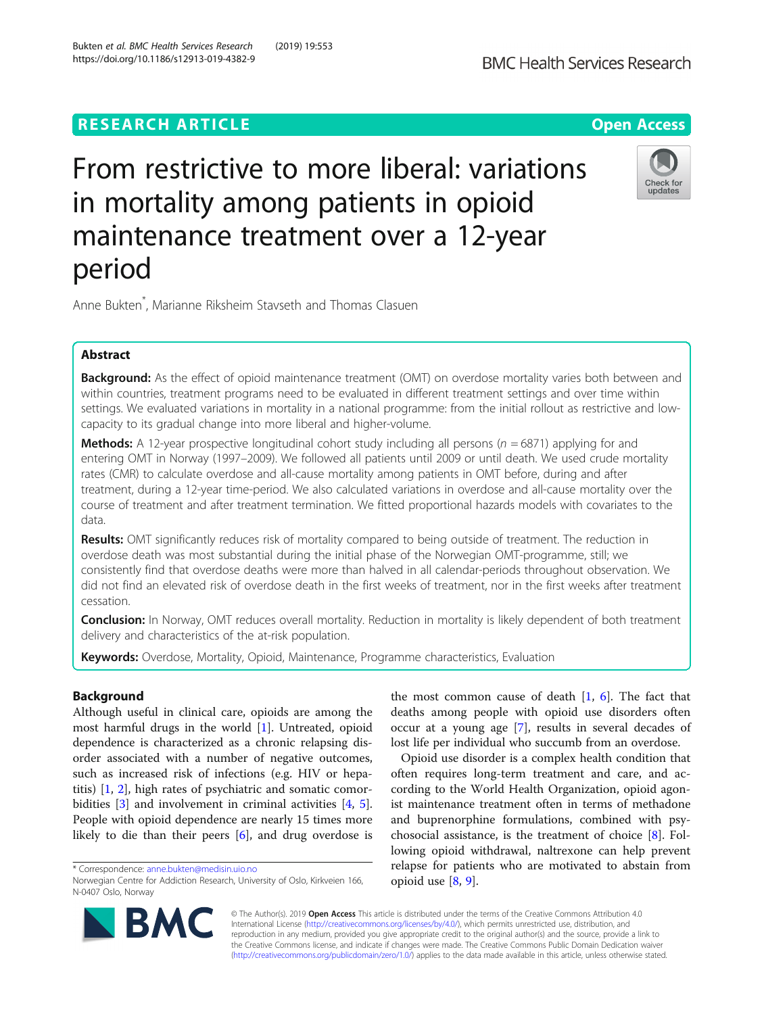# **RESEARCH ARTICLE Example 2018 12:30 The Contract of Contract Contract Open Access**

# From restrictive to more liberal: variations in mortality among patients in opioid maintenance treatment over a 12-year period

Anne Bukten\* , Marianne Riksheim Stavseth and Thomas Clasuen

# Abstract

Background: As the effect of opioid maintenance treatment (OMT) on overdose mortality varies both between and within countries, treatment programs need to be evaluated in different treatment settings and over time within settings. We evaluated variations in mortality in a national programme: from the initial rollout as restrictive and lowcapacity to its gradual change into more liberal and higher-volume.

**Methods:** A 12-year prospective longitudinal cohort study including all persons ( $n = 6871$ ) applying for and entering OMT in Norway (1997–2009). We followed all patients until 2009 or until death. We used crude mortality rates (CMR) to calculate overdose and all-cause mortality among patients in OMT before, during and after treatment, during a 12-year time-period. We also calculated variations in overdose and all-cause mortality over the course of treatment and after treatment termination. We fitted proportional hazards models with covariates to the data.

Results: OMT significantly reduces risk of mortality compared to being outside of treatment. The reduction in overdose death was most substantial during the initial phase of the Norwegian OMT-programme, still; we consistently find that overdose deaths were more than halved in all calendar-periods throughout observation. We did not find an elevated risk of overdose death in the first weeks of treatment, nor in the first weeks after treatment cessation.

Conclusion: In Norway, OMT reduces overall mortality. Reduction in mortality is likely dependent of both treatment delivery and characteristics of the at-risk population.

Keywords: Overdose, Mortality, Opioid, Maintenance, Programme characteristics, Evaluation

# Background

Although useful in clinical care, opioids are among the most harmful drugs in the world [\[1](#page-7-0)]. Untreated, opioid dependence is characterized as a chronic relapsing disorder associated with a number of negative outcomes, such as increased risk of infections (e.g. HIV or hepatitis) [[1](#page-7-0), [2\]](#page-7-0), high rates of psychiatric and somatic comorbidities [\[3\]](#page-7-0) and involvement in criminal activities [\[4](#page-7-0), [5](#page-7-0)]. People with opioid dependence are nearly 15 times more likely to die than their peers [[6](#page-7-0)], and drug overdose is

deaths among people with opioid use disorders often occur at a young age [[7\]](#page-7-0), results in several decades of lost life per individual who succumb from an overdose. Opioid use disorder is a complex health condition that

the most common cause of death  $[1, 6]$  $[1, 6]$  $[1, 6]$  $[1, 6]$ . The fact that

often requires long-term treatment and care, and according to the World Health Organization, opioid agonist maintenance treatment often in terms of methadone and buprenorphine formulations, combined with psychosocial assistance, is the treatment of choice [\[8](#page-7-0)]. Following opioid withdrawal, naltrexone can help prevent relapse for patients who are motivated to abstain from opioid use  $[8, 9]$  $[8, 9]$  $[8, 9]$ .

© The Author(s). 2019 **Open Access** This article is distributed under the terms of the Creative Commons Attribution 4.0 International License [\(http://creativecommons.org/licenses/by/4.0/](http://creativecommons.org/licenses/by/4.0/)), which permits unrestricted use, distribution, and reproduction in any medium, provided you give appropriate credit to the original author(s) and the source, provide a link to the Creative Commons license, and indicate if changes were made. The Creative Commons Public Domain Dedication waiver [\(http://creativecommons.org/publicdomain/zero/1.0/](http://creativecommons.org/publicdomain/zero/1.0/)) applies to the data made available in this article, unless otherwise stated.







Norwegian Centre for Addiction Research, University of Oslo, Kirkveien 166, N-0407 Oslo, Norway

<sup>\*</sup> Correspondence: [anne.bukten@medisin.uio.no](mailto:anne.bukten@medisin.uio.no)

Bukten et al. BMC Health Services Research (2019) 19:553 https://doi.org/10.1186/s12913-019-4382-9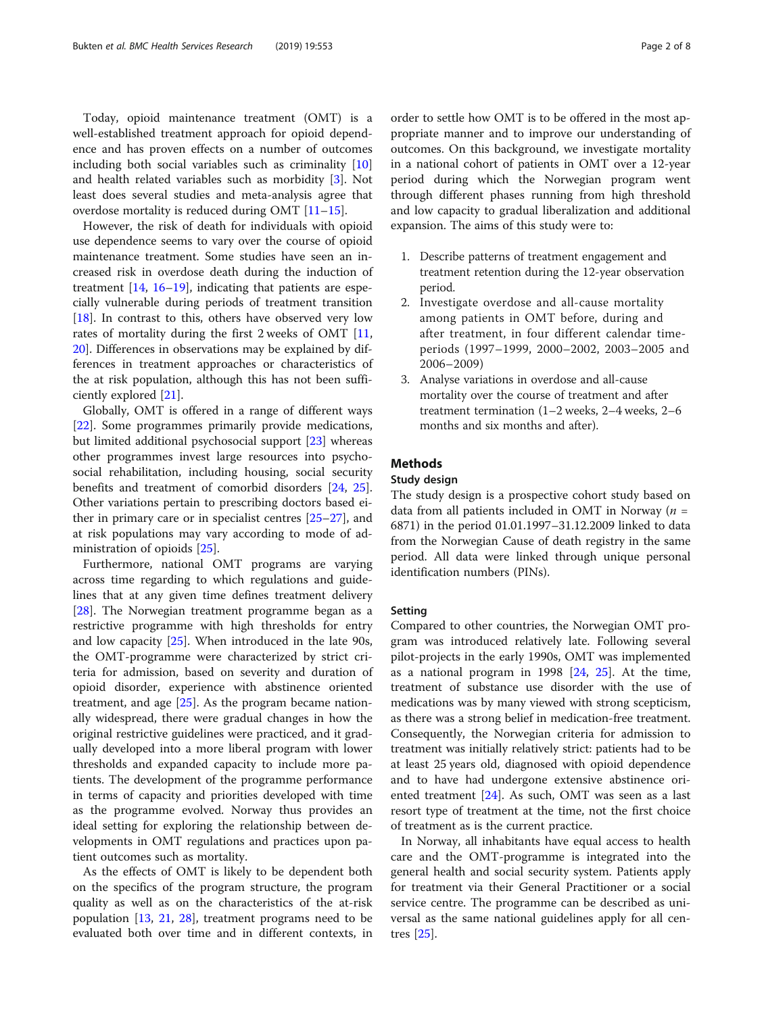Today, opioid maintenance treatment (OMT) is a well-established treatment approach for opioid dependence and has proven effects on a number of outcomes including both social variables such as criminality [[10](#page-7-0)] and health related variables such as morbidity [\[3](#page-7-0)]. Not least does several studies and meta-analysis agree that overdose mortality is reduced during OMT [\[11](#page-7-0)–[15\]](#page-7-0).

However, the risk of death for individuals with opioid use dependence seems to vary over the course of opioid maintenance treatment. Some studies have seen an increased risk in overdose death during the induction of treatment  $[14, 16-19]$  $[14, 16-19]$  $[14, 16-19]$  $[14, 16-19]$  $[14, 16-19]$ , indicating that patients are especially vulnerable during periods of treatment transition [ $18$ ]. In contrast to this, others have observed very low rates of mortality during the first 2 weeks of OMT [[11](#page-7-0), [20\]](#page-7-0). Differences in observations may be explained by differences in treatment approaches or characteristics of the at risk population, although this has not been sufficiently explored [\[21\]](#page-7-0).

Globally, OMT is offered in a range of different ways [[22\]](#page-7-0). Some programmes primarily provide medications, but limited additional psychosocial support [\[23](#page-7-0)] whereas other programmes invest large resources into psychosocial rehabilitation, including housing, social security benefits and treatment of comorbid disorders [[24,](#page-7-0) [25](#page-7-0)]. Other variations pertain to prescribing doctors based either in primary care or in specialist centres [\[25](#page-7-0)–[27](#page-7-0)], and at risk populations may vary according to mode of administration of opioids [\[25](#page-7-0)].

Furthermore, national OMT programs are varying across time regarding to which regulations and guidelines that at any given time defines treatment delivery [[28\]](#page-7-0). The Norwegian treatment programme began as a restrictive programme with high thresholds for entry and low capacity [\[25\]](#page-7-0). When introduced in the late 90s, the OMT-programme were characterized by strict criteria for admission, based on severity and duration of opioid disorder, experience with abstinence oriented treatment, and age [\[25](#page-7-0)]. As the program became nationally widespread, there were gradual changes in how the original restrictive guidelines were practiced, and it gradually developed into a more liberal program with lower thresholds and expanded capacity to include more patients. The development of the programme performance in terms of capacity and priorities developed with time as the programme evolved. Norway thus provides an ideal setting for exploring the relationship between developments in OMT regulations and practices upon patient outcomes such as mortality.

As the effects of OMT is likely to be dependent both on the specifics of the program structure, the program quality as well as on the characteristics of the at-risk population  $[13, 21, 28]$  $[13, 21, 28]$  $[13, 21, 28]$  $[13, 21, 28]$  $[13, 21, 28]$  $[13, 21, 28]$  $[13, 21, 28]$ , treatment programs need to be evaluated both over time and in different contexts, in

order to settle how OMT is to be offered in the most appropriate manner and to improve our understanding of outcomes. On this background, we investigate mortality in a national cohort of patients in OMT over a 12-year period during which the Norwegian program went through different phases running from high threshold and low capacity to gradual liberalization and additional expansion. The aims of this study were to:

- 1. Describe patterns of treatment engagement and treatment retention during the 12-year observation period.
- 2. Investigate overdose and all-cause mortality among patients in OMT before, during and after treatment, in four different calendar timeperiods (1997–1999, 2000–2002, 2003–2005 and 2006–2009)
- 3. Analyse variations in overdose and all-cause mortality over the course of treatment and after treatment termination (1–2 weeks, 2–4 weeks, 2–6 months and six months and after).

# Methods

## Study design

The study design is a prospective cohort study based on data from all patients included in OMT in Norway ( $n =$ 6871) in the period 01.01.1997–31.12.2009 linked to data from the Norwegian Cause of death registry in the same period. All data were linked through unique personal identification numbers (PINs).

#### Setting

Compared to other countries, the Norwegian OMT program was introduced relatively late. Following several pilot-projects in the early 1990s, OMT was implemented as a national program in 1998  $[24, 25]$  $[24, 25]$  $[24, 25]$  $[24, 25]$ . At the time, treatment of substance use disorder with the use of medications was by many viewed with strong scepticism, as there was a strong belief in medication-free treatment. Consequently, the Norwegian criteria for admission to treatment was initially relatively strict: patients had to be at least 25 years old, diagnosed with opioid dependence and to have had undergone extensive abstinence oriented treatment [\[24](#page-7-0)]. As such, OMT was seen as a last resort type of treatment at the time, not the first choice of treatment as is the current practice.

In Norway, all inhabitants have equal access to health care and the OMT-programme is integrated into the general health and social security system. Patients apply for treatment via their General Practitioner or a social service centre. The programme can be described as universal as the same national guidelines apply for all centres [[25\]](#page-7-0).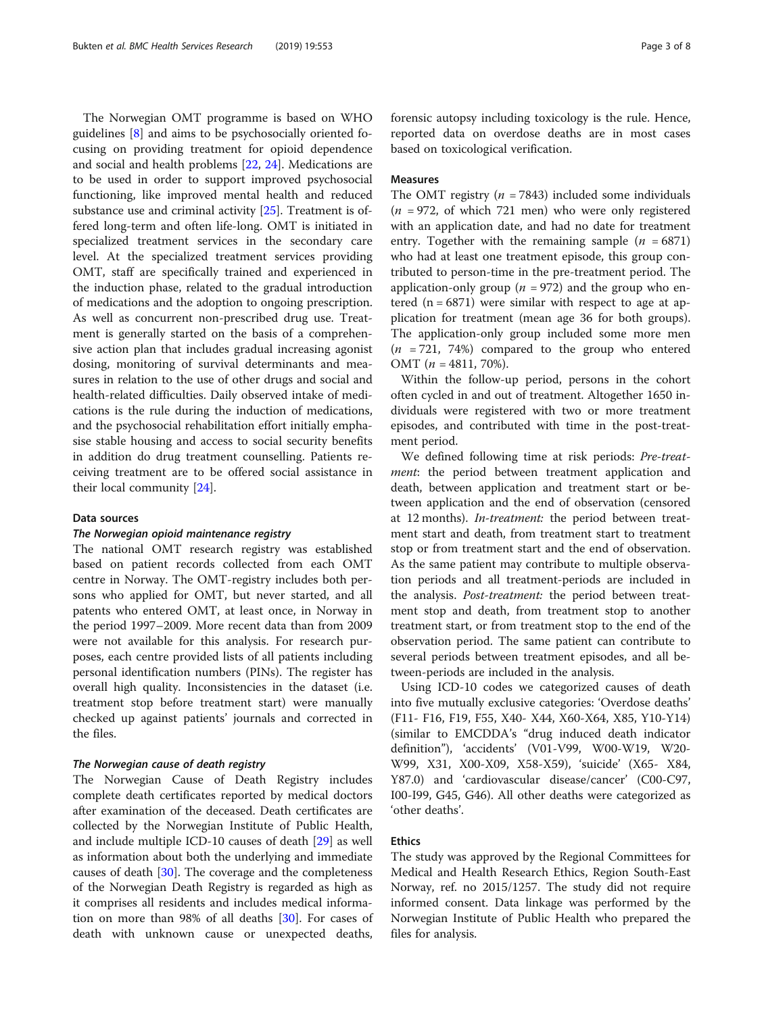The Norwegian OMT programme is based on WHO guidelines [\[8\]](#page-7-0) and aims to be psychosocially oriented focusing on providing treatment for opioid dependence and social and health problems [[22](#page-7-0), [24](#page-7-0)]. Medications are to be used in order to support improved psychosocial functioning, like improved mental health and reduced substance use and criminal activity [[25](#page-7-0)]. Treatment is offered long-term and often life-long. OMT is initiated in specialized treatment services in the secondary care level. At the specialized treatment services providing OMT, staff are specifically trained and experienced in the induction phase, related to the gradual introduction of medications and the adoption to ongoing prescription. As well as concurrent non-prescribed drug use. Treatment is generally started on the basis of a comprehensive action plan that includes gradual increasing agonist dosing, monitoring of survival determinants and measures in relation to the use of other drugs and social and health-related difficulties. Daily observed intake of medications is the rule during the induction of medications, and the psychosocial rehabilitation effort initially emphasise stable housing and access to social security benefits in addition do drug treatment counselling. Patients receiving treatment are to be offered social assistance in their local community [[24](#page-7-0)].

# Data sources

# The Norwegian opioid maintenance registry

The national OMT research registry was established based on patient records collected from each OMT centre in Norway. The OMT-registry includes both persons who applied for OMT, but never started, and all patents who entered OMT, at least once, in Norway in the period 1997–2009. More recent data than from 2009 were not available for this analysis. For research purposes, each centre provided lists of all patients including personal identification numbers (PINs). The register has overall high quality. Inconsistencies in the dataset (i.e. treatment stop before treatment start) were manually checked up against patients' journals and corrected in the files.

# The Norwegian cause of death registry

The Norwegian Cause of Death Registry includes complete death certificates reported by medical doctors after examination of the deceased. Death certificates are collected by the Norwegian Institute of Public Health, and include multiple ICD-10 causes of death [[29\]](#page-7-0) as well as information about both the underlying and immediate causes of death [[30](#page-7-0)]. The coverage and the completeness of the Norwegian Death Registry is regarded as high as it comprises all residents and includes medical information on more than 98% of all deaths [\[30](#page-7-0)]. For cases of death with unknown cause or unexpected deaths, forensic autopsy including toxicology is the rule. Hence, reported data on overdose deaths are in most cases based on toxicological verification.

# Measures

The OMT registry ( $n = 7843$ ) included some individuals  $(n = 972,$  of which 721 men) who were only registered with an application date, and had no date for treatment entry. Together with the remaining sample  $(n = 6871)$ who had at least one treatment episode, this group contributed to person-time in the pre-treatment period. The application-only group ( $n = 972$ ) and the group who entered  $(n = 6871)$  were similar with respect to age at application for treatment (mean age 36 for both groups). The application-only group included some more men  $(n = 721, 74%)$  compared to the group who entered OMT  $(n = 4811, 70\%).$ 

Within the follow-up period, persons in the cohort often cycled in and out of treatment. Altogether 1650 individuals were registered with two or more treatment episodes, and contributed with time in the post-treatment period.

We defined following time at risk periods: Pre-treat*ment*: the period between treatment application and death, between application and treatment start or between application and the end of observation (censored at 12 months). In-treatment: the period between treatment start and death, from treatment start to treatment stop or from treatment start and the end of observation. As the same patient may contribute to multiple observation periods and all treatment-periods are included in the analysis. Post-treatment: the period between treatment stop and death, from treatment stop to another treatment start, or from treatment stop to the end of the observation period. The same patient can contribute to several periods between treatment episodes, and all between-periods are included in the analysis.

Using ICD-10 codes we categorized causes of death into five mutually exclusive categories: 'Overdose deaths' (F11- F16, F19, F55, X40- X44, X60-X64, X85, Y10-Y14) (similar to EMCDDA's "drug induced death indicator definition"), 'accidents' (V01-V99, W00-W19, W20- W99, X31, X00-X09, X58-X59), 'suicide' (X65- X84, Y87.0) and 'cardiovascular disease/cancer' (C00-C97, I00-I99, G45, G46). All other deaths were categorized as 'other deaths'.

# Ethics

The study was approved by the Regional Committees for Medical and Health Research Ethics, Region South-East Norway, ref. no 2015/1257. The study did not require informed consent. Data linkage was performed by the Norwegian Institute of Public Health who prepared the files for analysis.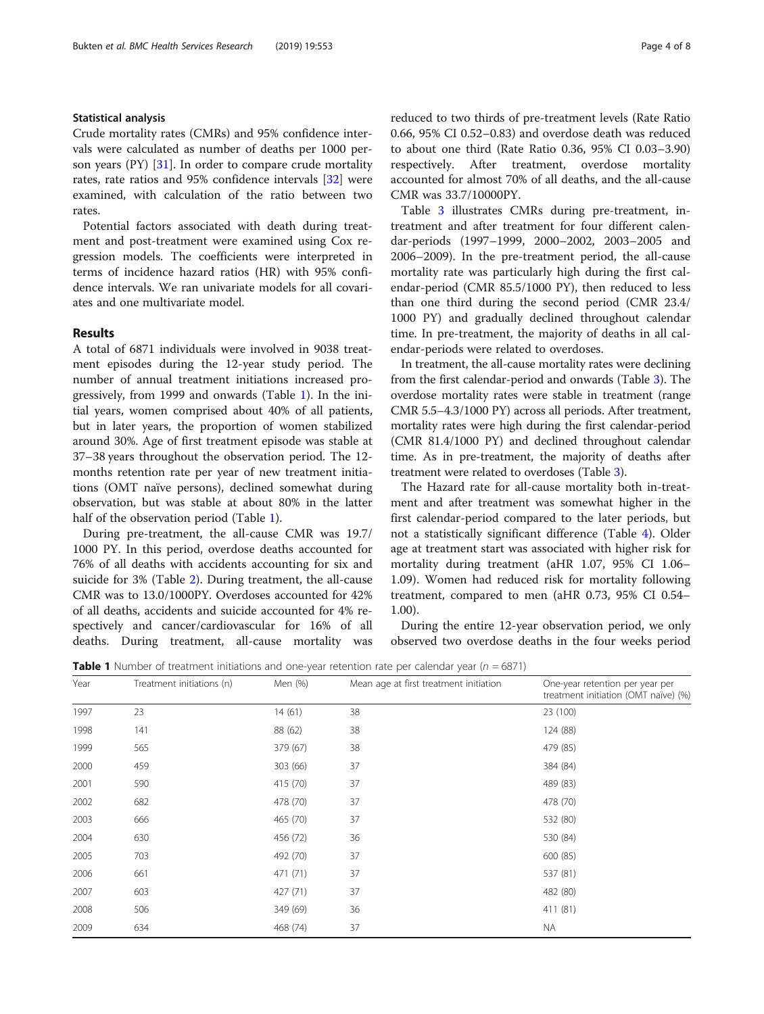# Statistical analysis

Crude mortality rates (CMRs) and 95% confidence intervals were calculated as number of deaths per 1000 person years (PY) [\[31\]](#page-7-0). In order to compare crude mortality rates, rate ratios and 95% confidence intervals [[32\]](#page-7-0) were examined, with calculation of the ratio between two rates.

Potential factors associated with death during treatment and post-treatment were examined using Cox regression models. The coefficients were interpreted in terms of incidence hazard ratios (HR) with 95% confidence intervals. We ran univariate models for all covariates and one multivariate model.

# Results

A total of 6871 individuals were involved in 9038 treatment episodes during the 12-year study period. The number of annual treatment initiations increased progressively, from 1999 and onwards (Table 1). In the initial years, women comprised about 40% of all patients, but in later years, the proportion of women stabilized around 30%. Age of first treatment episode was stable at 37–38 years throughout the observation period. The 12 months retention rate per year of new treatment initiations (OMT naïve persons), declined somewhat during observation, but was stable at about 80% in the latter half of the observation period (Table 1).

During pre-treatment, the all-cause CMR was 19.7/ 1000 PY. In this period, overdose deaths accounted for 76% of all deaths with accidents accounting for six and suicide for 3% (Table [2\)](#page-4-0). During treatment, the all-cause CMR was to 13.0/1000PY. Overdoses accounted for 42% of all deaths, accidents and suicide accounted for 4% respectively and cancer/cardiovascular for 16% of all deaths. During treatment, all-cause mortality was reduced to two thirds of pre-treatment levels (Rate Ratio 0.66, 95% CI 0.52–0.83) and overdose death was reduced to about one third (Rate Ratio 0.36, 95% CI 0.03–3.90) respectively. After treatment, overdose mortality accounted for almost 70% of all deaths, and the all-cause CMR was 33.7/10000PY.

Table [3](#page-4-0) illustrates CMRs during pre-treatment, intreatment and after treatment for four different calendar-periods (1997–1999, 2000–2002, 2003–2005 and 2006–2009). In the pre-treatment period, the all-cause mortality rate was particularly high during the first calendar-period (CMR 85.5/1000 PY), then reduced to less than one third during the second period (CMR 23.4/ 1000 PY) and gradually declined throughout calendar time. In pre-treatment, the majority of deaths in all calendar-periods were related to overdoses.

In treatment, the all-cause mortality rates were declining from the first calendar-period and onwards (Table [3](#page-4-0)). The overdose mortality rates were stable in treatment (range CMR 5.5–4.3/1000 PY) across all periods. After treatment, mortality rates were high during the first calendar-period (CMR 81.4/1000 PY) and declined throughout calendar time. As in pre-treatment, the majority of deaths after treatment were related to overdoses (Table [3\)](#page-4-0).

The Hazard rate for all-cause mortality both in-treatment and after treatment was somewhat higher in the first calendar-period compared to the later periods, but not a statistically significant difference (Table [4\)](#page-5-0). Older age at treatment start was associated with higher risk for mortality during treatment (aHR 1.07, 95% CI 1.06– 1.09). Women had reduced risk for mortality following treatment, compared to men (aHR 0.73, 95% CI 0.54– 1.00).

During the entire 12-year observation period, we only observed two overdose deaths in the four weeks period

**Table 1** Number of treatment initiations and one-year retention rate per calendar year ( $n = 6871$ )

| Year<br>Treatment initiations (n) |     | Men (%)  | Mean age at first treatment initiation | One-year retention per year per<br>treatment initiation (OMT naïve) (%) |
|-----------------------------------|-----|----------|----------------------------------------|-------------------------------------------------------------------------|
| 1997                              | 23  | 14(61)   | 38                                     | 23 (100)                                                                |
| 1998                              | 141 | 88 (62)  | 38                                     | 124 (88)                                                                |
| 1999                              | 565 | 379 (67) | 38                                     | 479 (85)                                                                |
| 2000                              | 459 | 303 (66) | 37                                     | 384 (84)                                                                |
| 2001                              | 590 | 415 (70) | 37                                     | 489 (83)                                                                |
| 2002                              | 682 | 478 (70) | 37                                     | 478 (70)                                                                |
| 2003                              | 666 | 465 (70) | 37                                     | 532 (80)                                                                |
| 2004                              | 630 | 456 (72) | 36                                     | 530 (84)                                                                |
| 2005                              | 703 | 492 (70) | 37                                     | 600 (85)                                                                |
| 2006                              | 661 | 471 (71) | 37                                     | 537 (81)                                                                |
| 2007                              | 603 | 427 (71) | 37                                     | 482 (80)                                                                |
| 2008                              | 506 | 349 (69) | 36                                     | 411 (81)                                                                |
| 2009                              | 634 | 468 (74) | 37                                     | <b>NA</b>                                                               |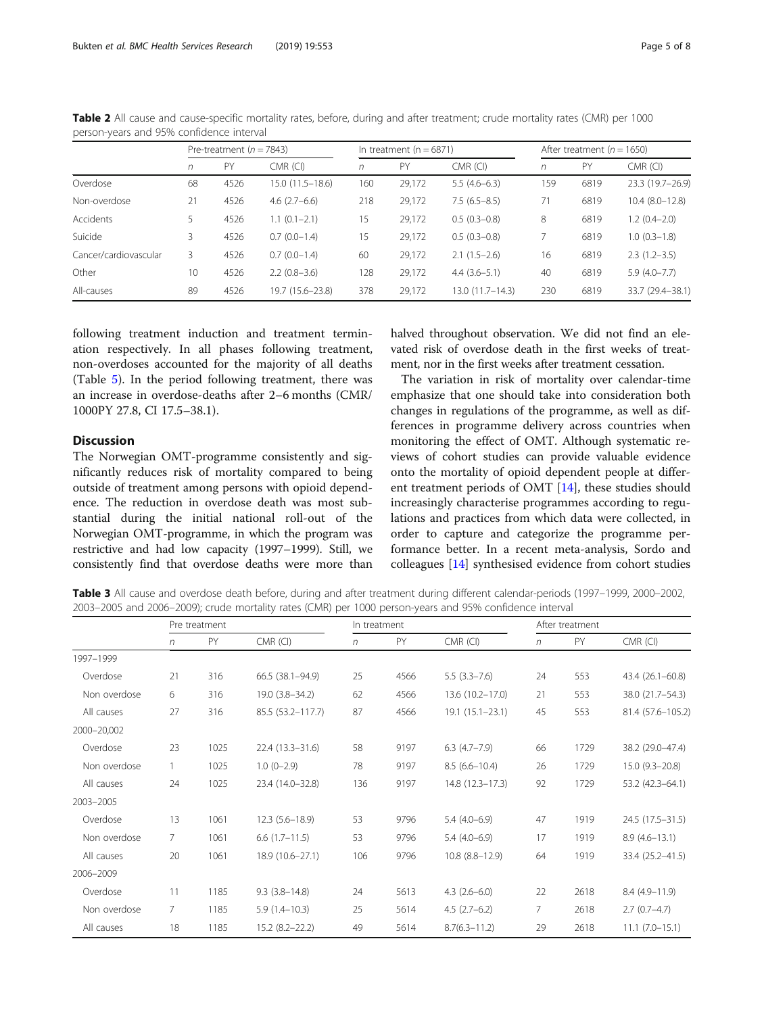|                       | Pre-treatment ( $n = 7843$ ) |      |                   |     | In treatment ( $n = 6871$ ) |                   | After treatment ( $n = 1650$ ) |      |                  |
|-----------------------|------------------------------|------|-------------------|-----|-----------------------------|-------------------|--------------------------------|------|------------------|
|                       | n                            | PY   | $CMR$ (CI)        | n   | PY                          | $CMR$ (CI)        | n                              | PY   | $CMR$ (CI)       |
| Overdose              | 68                           | 4526 | $15.0(11.5-18.6)$ | 160 | 29,172                      | $5.5(4.6-6.3)$    | 159                            | 6819 | 23.3 (19.7-26.9) |
| Non-overdose          | 21                           | 4526 | $4.6(2.7-6.6)$    | 218 | 29,172                      | $7.5(6.5-8.5)$    | 71                             | 6819 | $10.4(8.0-12.8)$ |
| Accidents             | 5                            | 4526 | $1.1(0.1-2.1)$    | 15  | 29,172                      | $0.5(0.3-0.8)$    | 8                              | 6819 | $1.2(0.4-2.0)$   |
| Suicide               | 3                            | 4526 | $0.7(0.0-1.4)$    | 15  | 29,172                      | $0.5(0.3-0.8)$    |                                | 6819 | $1.0(0.3-1.8)$   |
| Cancer/cardiovascular | 3                            | 4526 | $0.7(0.0-1.4)$    | 60  | 29,172                      | $2.1(1.5-2.6)$    | 16                             | 6819 | $2.3(1.2-3.5)$   |
| Other                 | 10                           | 4526 | $2.2(0.8-3.6)$    | 128 | 29,172                      | $4.4(3.6-5.1)$    | 40                             | 6819 | $5.9(4.0 - 7.7)$ |
| All-causes            | 89                           | 4526 | 19.7 (15.6–23.8)  | 378 | 29,172                      | $13.0(11.7-14.3)$ | 230                            | 6819 | 33.7 (29.4-38.1) |

<span id="page-4-0"></span>Table 2 All cause and cause-specific mortality rates, before, during and after treatment; crude mortality rates (CMR) per 1000 person-years and 95% confidence interval

following treatment induction and treatment termination respectively. In all phases following treatment, non-overdoses accounted for the majority of all deaths (Table [5](#page-5-0)). In the period following treatment, there was an increase in overdose-deaths after 2–6 months (CMR/ 1000PY 27.8, CI 17.5–38.1).

# **Discussion**

The Norwegian OMT-programme consistently and significantly reduces risk of mortality compared to being outside of treatment among persons with opioid dependence. The reduction in overdose death was most substantial during the initial national roll-out of the Norwegian OMT-programme, in which the program was restrictive and had low capacity (1997–1999). Still, we consistently find that overdose deaths were more than halved throughout observation. We did not find an elevated risk of overdose death in the first weeks of treatment, nor in the first weeks after treatment cessation.

The variation in risk of mortality over calendar-time emphasize that one should take into consideration both changes in regulations of the programme, as well as differences in programme delivery across countries when monitoring the effect of OMT. Although systematic reviews of cohort studies can provide valuable evidence onto the mortality of opioid dependent people at different treatment periods of OMT [[14](#page-7-0)], these studies should increasingly characterise programmes according to regulations and practices from which data were collected, in order to capture and categorize the programme performance better. In a recent meta-analysis, Sordo and colleagues [[14\]](#page-7-0) synthesised evidence from cohort studies

Table 3 All cause and overdose death before, during and after treatment during different calendar-periods (1997–1999, 2000–2002, 2003–2005 and 2006–2009); crude mortality rates (CMR) per 1000 person-years and 95% confidence interval

|              | Pre treatment  |      |                     | In treatment |      |                       | After treatment |      |                     |
|--------------|----------------|------|---------------------|--------------|------|-----------------------|-----------------|------|---------------------|
|              | $\sqrt{n}$     | PY   | $CMR$ (CI)          | n            | PY   | $CMR$ (CI)            | n               | PY   | $CMR$ (CI)          |
| 1997-1999    |                |      |                     |              |      |                       |                 |      |                     |
| Overdose     | 21             | 316  | 66.5 (38.1-94.9)    | 25           | 4566 | $5.5(3.3 - 7.6)$      | 24              | 553  | 43.4 (26.1-60.8)    |
| Non overdose | 6              | 316  | 19.0 (3.8-34.2)     | 62           | 4566 | 13.6 (10.2-17.0)      | 21              | 553  | 38.0 (21.7–54.3)    |
| All causes   | 27             | 316  | 85.5 (53.2-117.7)   | 87           | 4566 | $19.1(15.1 - 23.1)$   | 45              | 553  | 81.4 (57.6-105.2)   |
| 2000-20,002  |                |      |                     |              |      |                       |                 |      |                     |
| Overdose     | 23             | 1025 | 22.4 (13.3-31.6)    | 58           | 9197 | $6.3$ $(4.7-7.9)$     | 66              | 1729 | 38.2 (29.0-47.4)    |
| Non overdose |                | 1025 | $1.0(0-2.9)$        | 78           | 9197 | $8.5(6.6 - 10.4)$     | 26              | 1729 | $15.0(9.3-20.8)$    |
| All causes   | 24             | 1025 | 23.4 (14.0-32.8)    | 136          | 9197 | 14.8 (12.3-17.3)      | 92              | 1729 | 53.2 (42.3–64.1)    |
| 2003-2005    |                |      |                     |              |      |                       |                 |      |                     |
| Overdose     | 13             | 1061 | $12.3(5.6 - 18.9)$  | 53           | 9796 | $5.4(4.0-6.9)$        | 47              | 1919 | 24.5 (17.5 - 31.5)  |
| Non overdose | $\overline{7}$ | 1061 | $6.6(1.7-11.5)$     | 53           | 9796 | $5.4(4.0-6.9)$        | 17              | 1919 | $8.9(4.6-13.1)$     |
| All causes   | 20             | 1061 | 18.9 (10.6-27.1)    | 106          | 9796 | $10.8$ $(8.8 - 12.9)$ | 64              | 1919 | 33.4 (25.2-41.5)    |
| 2006-2009    |                |      |                     |              |      |                       |                 |      |                     |
| Overdose     | 11             | 1185 | $9.3(3.8 - 14.8)$   | 24           | 5613 | $4.3(2.6-6.0)$        | 22              | 2618 | $8.4(4.9-11.9)$     |
| Non overdose | 7              | 1185 | $5.9(1.4-10.3)$     | 25           | 5614 | $4.5(2.7-6.2)$        | 7               | 2618 | $2.7(0.7-4.7)$      |
| All causes   | 18             | 1185 | $15.2 (8.2 - 22.2)$ | 49           | 5614 | $8.7(6.3 - 11.2)$     | 29              | 2618 | $11.1 (7.0 - 15.1)$ |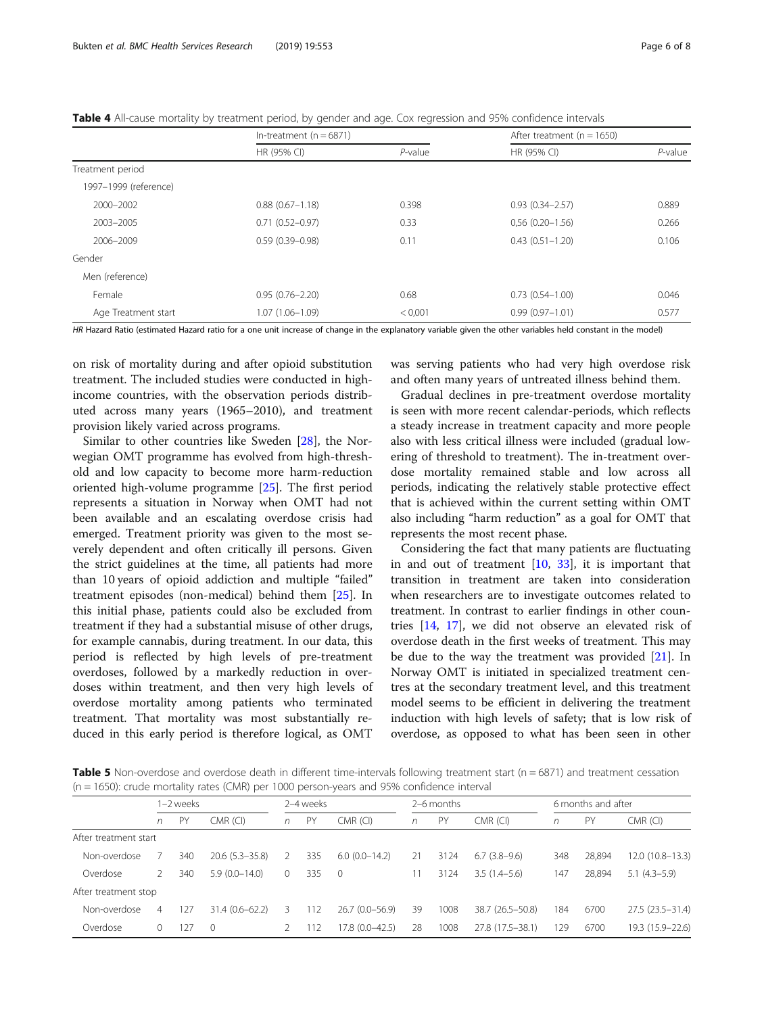<span id="page-5-0"></span>Table 4 All-cause mortality by treatment period, by gender and age. Cox regression and 95% confidence intervals

|                       | In-treatment $(n = 6871)$ |            | After treatment ( $n = 1650$ ) |            |  |  |  |
|-----------------------|---------------------------|------------|--------------------------------|------------|--|--|--|
|                       | HR (95% CI)               | $P$ -value | HR (95% CI)                    | $P$ -value |  |  |  |
| Treatment period      |                           |            |                                |            |  |  |  |
| 1997-1999 (reference) |                           |            |                                |            |  |  |  |
| 2000-2002             | $0.88(0.67 - 1.18)$       | 0.398      | $0.93(0.34 - 2.57)$            | 0.889      |  |  |  |
| 2003-2005             | $0.71(0.52 - 0.97)$       | 0.33       | $0,56(0.20 - 1.56)$            | 0.266      |  |  |  |
| 2006-2009             | $0.59(0.39 - 0.98)$       | 0.11       | $0.43(0.51 - 1.20)$            | 0.106      |  |  |  |
| Gender                |                           |            |                                |            |  |  |  |
| Men (reference)       |                           |            |                                |            |  |  |  |
| Female                | $0.95(0.76 - 2.20)$       | 0.68       | $0.73(0.54 - 1.00)$            | 0.046      |  |  |  |
| Age Treatment start   | 1.07 (1.06-1.09)          | < 0.001    | $0.99(0.97 - 1.01)$            | 0.577      |  |  |  |

HR Hazard Ratio (estimated Hazard ratio for a one unit increase of change in the explanatory variable given the other variables held constant in the model)

on risk of mortality during and after opioid substitution treatment. The included studies were conducted in highincome countries, with the observation periods distributed across many years (1965–2010), and treatment provision likely varied across programs.

Similar to other countries like Sweden [[28](#page-7-0)], the Norwegian OMT programme has evolved from high-threshold and low capacity to become more harm-reduction oriented high-volume programme [[25\]](#page-7-0). The first period represents a situation in Norway when OMT had not been available and an escalating overdose crisis had emerged. Treatment priority was given to the most severely dependent and often critically ill persons. Given the strict guidelines at the time, all patients had more than 10 years of opioid addiction and multiple "failed" treatment episodes (non-medical) behind them [\[25](#page-7-0)]. In this initial phase, patients could also be excluded from treatment if they had a substantial misuse of other drugs, for example cannabis, during treatment. In our data, this period is reflected by high levels of pre-treatment overdoses, followed by a markedly reduction in overdoses within treatment, and then very high levels of overdose mortality among patients who terminated treatment. That mortality was most substantially reduced in this early period is therefore logical, as OMT

was serving patients who had very high overdose risk and often many years of untreated illness behind them.

Gradual declines in pre-treatment overdose mortality is seen with more recent calendar-periods, which reflects a steady increase in treatment capacity and more people also with less critical illness were included (gradual lowering of threshold to treatment). The in-treatment overdose mortality remained stable and low across all periods, indicating the relatively stable protective effect that is achieved within the current setting within OMT also including "harm reduction" as a goal for OMT that represents the most recent phase.

Considering the fact that many patients are fluctuating in and out of treatment  $[10, 33]$  $[10, 33]$  $[10, 33]$  $[10, 33]$ , it is important that transition in treatment are taken into consideration when researchers are to investigate outcomes related to treatment. In contrast to earlier findings in other countries [[14](#page-7-0), [17\]](#page-7-0), we did not observe an elevated risk of overdose death in the first weeks of treatment. This may be due to the way the treatment was provided [[21](#page-7-0)]. In Norway OMT is initiated in specialized treatment centres at the secondary treatment level, and this treatment model seems to be efficient in delivering the treatment induction with high levels of safety; that is low risk of overdose, as opposed to what has been seen in other

**Table 5** Non-overdose and overdose death in different time-intervals following treatment start ( $n = 6871$ ) and treatment cessation (n = 1650): crude mortality rates (CMR) per 1000 person-years and 95% confidence interval

|                       | I−2 weeks |     |                    | 2-4 weeks |     |                 | 2–6 months |      |                    | 6 months and after |        |                  |
|-----------------------|-----------|-----|--------------------|-----------|-----|-----------------|------------|------|--------------------|--------------------|--------|------------------|
|                       | n         | PY  | CMR (CI)           | n         | PY  | $CMR$ (CI)      | n          | PY   | $CMR$ (CI)         | n                  | PY     | $CMR$ (CI)       |
| After treatment start |           |     |                    |           |     |                 |            |      |                    |                    |        |                  |
| Non-overdose          |           | 340 | $20.6(5.3 - 35.8)$ |           | 335 | $6.0(0.0-14.2)$ | 21         | 3124 | $6.7(3.8-9.6)$     | 348                | 28,894 | 12.0 (10.8-13.3) |
| Overdose              |           | 340 | $5.9(0.0-14.0)$    | 0         | 335 | $\overline{0}$  |            | 3124 | $3.5(1.4-5.6)$     | 147                | 28,894 | $5.1(4.3-5.9)$   |
| After treatment stop  |           |     |                    |           |     |                 |            |      |                    |                    |        |                  |
| Non-overdose          | 4         | 127 | $31.4(0.6 - 62.2)$ |           | 112 | 26.7 (0.0-56.9) | 39         | 1008 | 38.7 (26.5 - 50.8) | 184                | 6700   | 27.5 (23.5-31.4) |
| Overdose              | 0         | 127 | $\Omega$           |           |     | 17.8 (0.0–42.5) | 28         | 1008 | 27.8 (17.5–38.1)   | 29،                | 6700   | 19.3 (15.9-22.6) |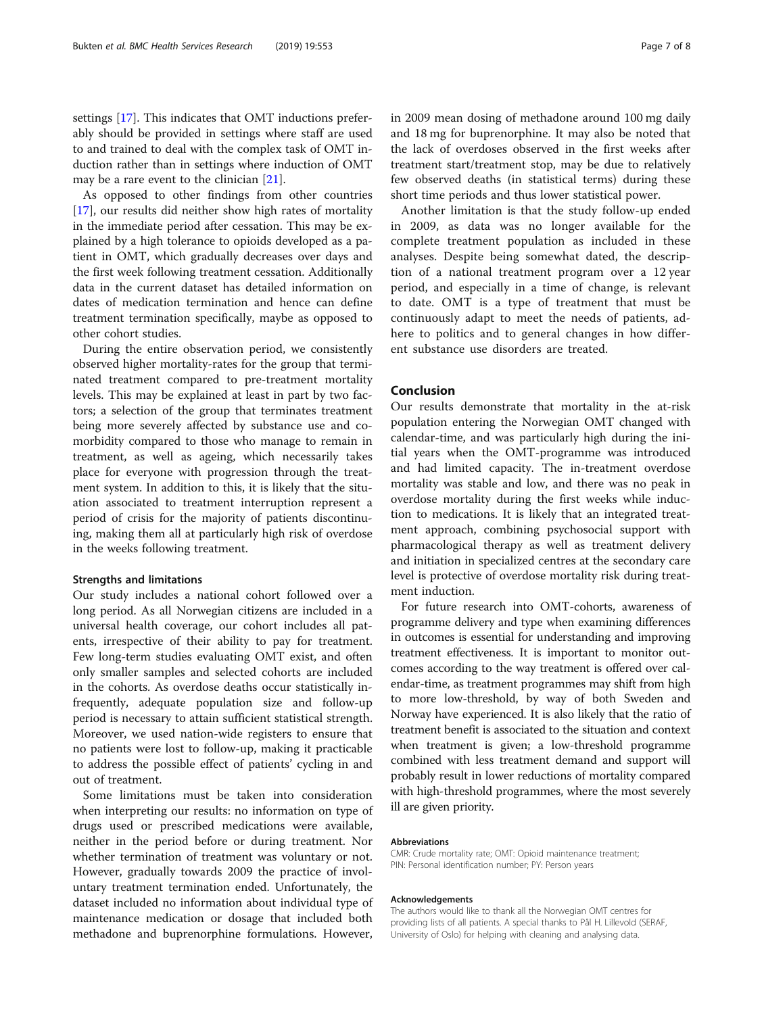settings [[17\]](#page-7-0). This indicates that OMT inductions preferably should be provided in settings where staff are used to and trained to deal with the complex task of OMT induction rather than in settings where induction of OMT may be a rare event to the clinician [[21\]](#page-7-0).

As opposed to other findings from other countries [[17\]](#page-7-0), our results did neither show high rates of mortality in the immediate period after cessation. This may be explained by a high tolerance to opioids developed as a patient in OMT, which gradually decreases over days and the first week following treatment cessation. Additionally data in the current dataset has detailed information on dates of medication termination and hence can define treatment termination specifically, maybe as opposed to other cohort studies.

During the entire observation period, we consistently observed higher mortality-rates for the group that terminated treatment compared to pre-treatment mortality levels. This may be explained at least in part by two factors; a selection of the group that terminates treatment being more severely affected by substance use and comorbidity compared to those who manage to remain in treatment, as well as ageing, which necessarily takes place for everyone with progression through the treatment system. In addition to this, it is likely that the situation associated to treatment interruption represent a period of crisis for the majority of patients discontinuing, making them all at particularly high risk of overdose in the weeks following treatment.

### Strengths and limitations

Our study includes a national cohort followed over a long period. As all Norwegian citizens are included in a universal health coverage, our cohort includes all patents, irrespective of their ability to pay for treatment. Few long-term studies evaluating OMT exist, and often only smaller samples and selected cohorts are included in the cohorts. As overdose deaths occur statistically infrequently, adequate population size and follow-up period is necessary to attain sufficient statistical strength. Moreover, we used nation-wide registers to ensure that no patients were lost to follow-up, making it practicable to address the possible effect of patients' cycling in and out of treatment.

Some limitations must be taken into consideration when interpreting our results: no information on type of drugs used or prescribed medications were available, neither in the period before or during treatment. Nor whether termination of treatment was voluntary or not. However, gradually towards 2009 the practice of involuntary treatment termination ended. Unfortunately, the dataset included no information about individual type of maintenance medication or dosage that included both methadone and buprenorphine formulations. However,

in 2009 mean dosing of methadone around 100 mg daily and 18 mg for buprenorphine. It may also be noted that the lack of overdoses observed in the first weeks after treatment start/treatment stop, may be due to relatively few observed deaths (in statistical terms) during these short time periods and thus lower statistical power.

Another limitation is that the study follow-up ended in 2009, as data was no longer available for the complete treatment population as included in these analyses. Despite being somewhat dated, the description of a national treatment program over a 12 year period, and especially in a time of change, is relevant to date. OMT is a type of treatment that must be continuously adapt to meet the needs of patients, adhere to politics and to general changes in how different substance use disorders are treated.

# Conclusion

Our results demonstrate that mortality in the at-risk population entering the Norwegian OMT changed with calendar-time, and was particularly high during the initial years when the OMT-programme was introduced and had limited capacity. The in-treatment overdose mortality was stable and low, and there was no peak in overdose mortality during the first weeks while induction to medications. It is likely that an integrated treatment approach, combining psychosocial support with pharmacological therapy as well as treatment delivery and initiation in specialized centres at the secondary care level is protective of overdose mortality risk during treatment induction.

For future research into OMT-cohorts, awareness of programme delivery and type when examining differences in outcomes is essential for understanding and improving treatment effectiveness. It is important to monitor outcomes according to the way treatment is offered over calendar-time, as treatment programmes may shift from high to more low-threshold, by way of both Sweden and Norway have experienced. It is also likely that the ratio of treatment benefit is associated to the situation and context when treatment is given; a low-threshold programme combined with less treatment demand and support will probably result in lower reductions of mortality compared with high-threshold programmes, where the most severely ill are given priority.

#### Abbreviations

CMR: Crude mortality rate; OMT: Opioid maintenance treatment; PIN: Personal identification number; PY: Person years

#### Acknowledgements

The authors would like to thank all the Norwegian OMT centres for providing lists of all patients. A special thanks to Pål H. Lillevold (SERAF, University of Oslo) for helping with cleaning and analysing data.